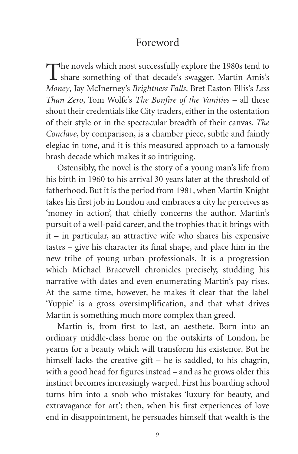## Foreword

The novels which most successfully explore the 1980s tend to share something of that decade's swagger. Martin Amis's *Money*, Jay McInerney's *Brightness Falls*, Bret Easton Ellis's *Less Than Zero*, Tom Wolfe's *The Bonfire of the Vanities* – all these shout their credentials like City traders, either in the ostentation of their style or in the spectacular breadth of their canvas. *The Conclave*, by comparison, is a chamber piece, subtle and faintly elegiac in tone, and it is this measured approach to a famously brash decade which makes it so intriguing.

Ostensibly, the novel is the story of a young man's life from his birth in 1960 to his arrival 30 years later at the threshold of fatherhood. But it is the period from 1981, when Martin Knight takes his first job in London and embraces a city he perceives as 'money in action', that chiefly concerns the author. Martin's pursuit of a well-paid career, and the trophies that it brings with it – in particular, an attractive wife who shares his expensive tastes – give his character its final shape, and place him in the new tribe of young urban professionals. It is a progression which Michael Bracewell chronicles precisely, studding his narrative with dates and even enumerating Martin's pay rises. At the same time, however, he makes it clear that the label 'Yuppie' is a gross oversimplification, and that what drives Martin is something much more complex than greed.

Martin is, from first to last, an aesthete. Born into an ordinary middle-class home on the outskirts of London, he yearns for a beauty which will transform his existence. But he himself lacks the creative gift – he is saddled, to his chagrin, with a good head for figures instead – and as he grows older this instinct becomes increasingly warped. First his boarding school turns him into a snob who mistakes 'luxury for beauty, and extravagance for art'; then, when his first experiences of love end in disappointment, he persuades himself that wealth is the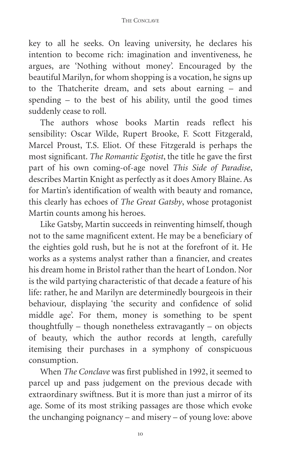key to all he seeks. On leaving university, he declares his intention to become rich: imagination and inventiveness, he argues, are 'Nothing without money'. Encouraged by the beautiful Marilyn, for whom shopping is a vocation, he signs up to the Thatcherite dream, and sets about earning – and spending – to the best of his ability, until the good times suddenly cease to roll.

The authors whose books Martin reads reflect his sensibility: Oscar Wilde, Rupert Brooke, F. Scott Fitzgerald, Marcel Proust, T.S. Eliot. Of these Fitzgerald is perhaps the most significant. *The Romantic Egotist*, the title he gave the first part of his own coming-of-age novel *This Side of Paradise*, describes Martin Knight as perfectly as it does Amory Blaine. As for Martin's identification of wealth with beauty and romance, this clearly has echoes of *The Great Gatsby*, whose protagonist Martin counts among his heroes.

Like Gatsby, Martin succeeds in reinventing himself, though not to the same magnificent extent. He may be a beneficiary of the eighties gold rush, but he is not at the forefront of it. He works as a systems analyst rather than a financier, and creates his dream home in Bristol rather than the heart of London. Nor is the wild partying characteristic of that decade a feature of his life: rather, he and Marilyn are determinedly bourgeois in their behaviour, displaying 'the security and confidence of solid middle age'. For them, money is something to be spent thoughtfully – though nonetheless extravagantly – on objects of beauty, which the author records at length, carefully itemising their purchases in a symphony of conspicuous consumption.

When *The Conclave* was first published in 1992, it seemed to parcel up and pass judgement on the previous decade with extraordinary swiftness. But it is more than just a mirror of its age. Some of its most striking passages are those which evoke the unchanging poignancy – and misery – of young love: above

10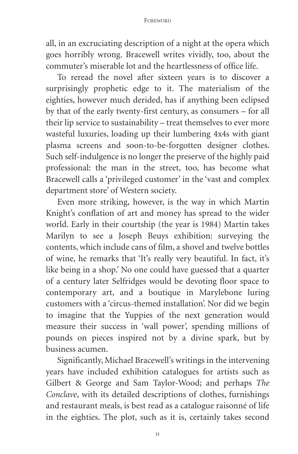all, in an excruciating description of a night at the opera which goes horribly wrong. Bracewell writes vividly, too, about the commuter's miserable lot and the heartlessness of office life.

To reread the novel after sixteen years is to discover a surprisingly prophetic edge to it. The materialism of the eighties, however much derided, has if anything been eclipsed by that of the early twenty-first century, as consumers – for all their lip service to sustainability – treat themselves to ever more wasteful luxuries, loading up their lumbering 4x4s with giant plasma screens and soon-to-be-forgotten designer clothes. Such self-indulgence is no longer the preserve of the highly paid professional: the man in the street, too, has become what Bracewell calls a 'privileged customer' in the 'vast and complex department store' of Western society.

Even more striking, however, is the way in which Martin Knight's conflation of art and money has spread to the wider world. Early in their courtship (the year is 1984) Martin takes Marilyn to see a Joseph Beuys exhibition: surveying the contents, which include cans of film, a shovel and twelve bottles of wine, he remarks that 'It's really very beautiful. In fact, it's like being in a shop.' No one could have guessed that a quarter of a century later Selfridges would be devoting floor space to contemporary art, and a boutique in Marylebone luring customers with a 'circus-themed installation'. Nor did we begin to imagine that the Yuppies of the next generation would measure their success in 'wall power', spending millions of pounds on pieces inspired not by a divine spark, but by business acumen.

Significantly, Michael Bracewell's writings in the intervening years have included exhibition catalogues for artists such as Gilbert & George and Sam Taylor-Wood; and perhaps *The Conclave*, with its detailed descriptions of clothes, furnishings and restaurant meals, is best read as a catalogue raisonné of life in the eighties. The plot, such as it is, certainly takes second